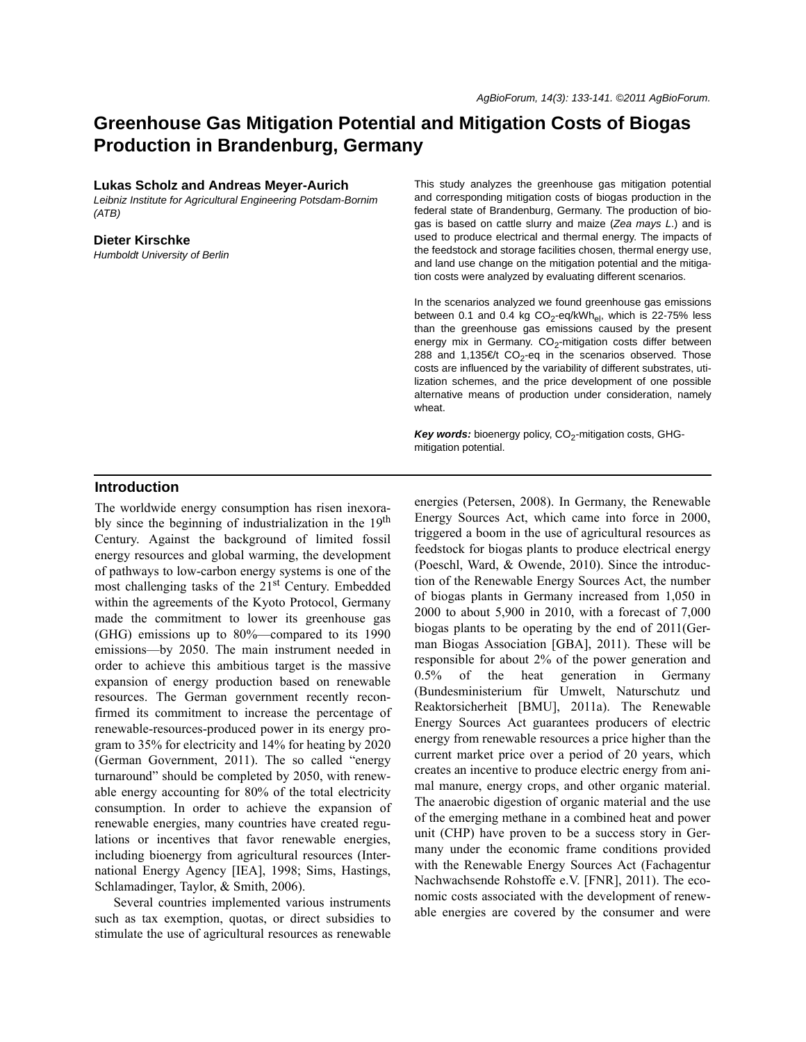# **Greenhouse Gas Mitigation Potential and Mitigation Costs of Biogas Production in Brandenburg, Germany**

#### **Lukas Scholz and Andreas Meyer-Aurich**

*Leibniz Institute for Agricultural Engineering Potsdam-Bornim (ATB)*

#### **Dieter Kirschke**

*Humboldt University of Berlin*

This study analyzes the greenhouse gas mitigation potential and corresponding mitigation costs of biogas production in the federal state of Brandenburg, Germany. The production of biogas is based on cattle slurry and maize (*Zea mays L*.) and is used to produce electrical and thermal energy. The impacts of the feedstock and storage facilities chosen, thermal energy use, and land use change on the mitigation potential and the mitigation costs were analyzed by evaluating different scenarios.

In the scenarios analyzed we found greenhouse gas emissions between 0.1 and 0.4 kg  $CO<sub>2</sub>$ -eq/kWh<sub>el</sub>, which is 22-75% less than the greenhouse gas emissions caused by the present energy mix in Germany.  $CO<sub>2</sub>$ -mitigation costs differ between 288 and 1,135€/t CO<sub>2</sub>-eq in the scenarios observed. Those costs are influenced by the variability of different substrates, utilization schemes, and the price development of one possible alternative means of production under consideration, namely wheat.

Key words: bioenergy policy, CO<sub>2</sub>-mitigation costs, GHGmitigation potential.

### **Introduction**

The worldwide energy consumption has risen inexorably since the beginning of industrialization in the 19<sup>th</sup> Century. Against the background of limited fossil energy resources and global warming, the development of pathways to low-carbon energy systems is one of the most challenging tasks of the  $21<sup>st</sup>$  Century. Embedded within the agreements of the Kyoto Protocol, Germany made the commitment to lower its greenhouse gas (GHG) emissions up to 80%—compared to its 1990 emissions—by 2050. The main instrument needed in order to achieve this ambitious target is the massive expansion of energy production based on renewable resources. The German government recently reconfirmed its commitment to increase the percentage of renewable-resources-produced power in its energy program to 35% for electricity and 14% for heating by 2020 (German Government, 2011). The so called "energy turnaround" should be completed by 2050, with renewable energy accounting for 80% of the total electricity consumption. In order to achieve the expansion of renewable energies, many countries have created regulations or incentives that favor renewable energies, including bioenergy from agricultural resources (International Energy Agency [IEA], 1998; Sims, Hastings, Schlamadinger, Taylor, & Smith, 2006).

Several countries implemented various instruments such as tax exemption, quotas, or direct subsidies to stimulate the use of agricultural resources as renewable

energies (Petersen, 2008). In Germany, the Renewable Energy Sources Act, which came into force in 2000, triggered a boom in the use of agricultural resources as feedstock for biogas plants to produce electrical energy (Poeschl, Ward, & Owende, 2010). Since the introduction of the Renewable Energy Sources Act, the number of biogas plants in Germany increased from 1,050 in 2000 to about 5,900 in 2010, with a forecast of 7,000 biogas plants to be operating by the end of 2011(German Biogas Association [GBA], 2011). These will be responsible for about 2% of the power generation and 0.5% of the heat generation in Germany (Bundesministerium für Umwelt, Naturschutz und Reaktorsicherheit [BMU], 2011a). The Renewable Energy Sources Act guarantees producers of electric energy from renewable resources a price higher than the current market price over a period of 20 years, which creates an incentive to produce electric energy from animal manure, energy crops, and other organic material. The anaerobic digestion of organic material and the use of the emerging methane in a combined heat and power unit (CHP) have proven to be a success story in Germany under the economic frame conditions provided with the Renewable Energy Sources Act (Fachagentur Nachwachsende Rohstoffe e.V. [FNR], 2011). The economic costs associated with the development of renewable energies are covered by the consumer and were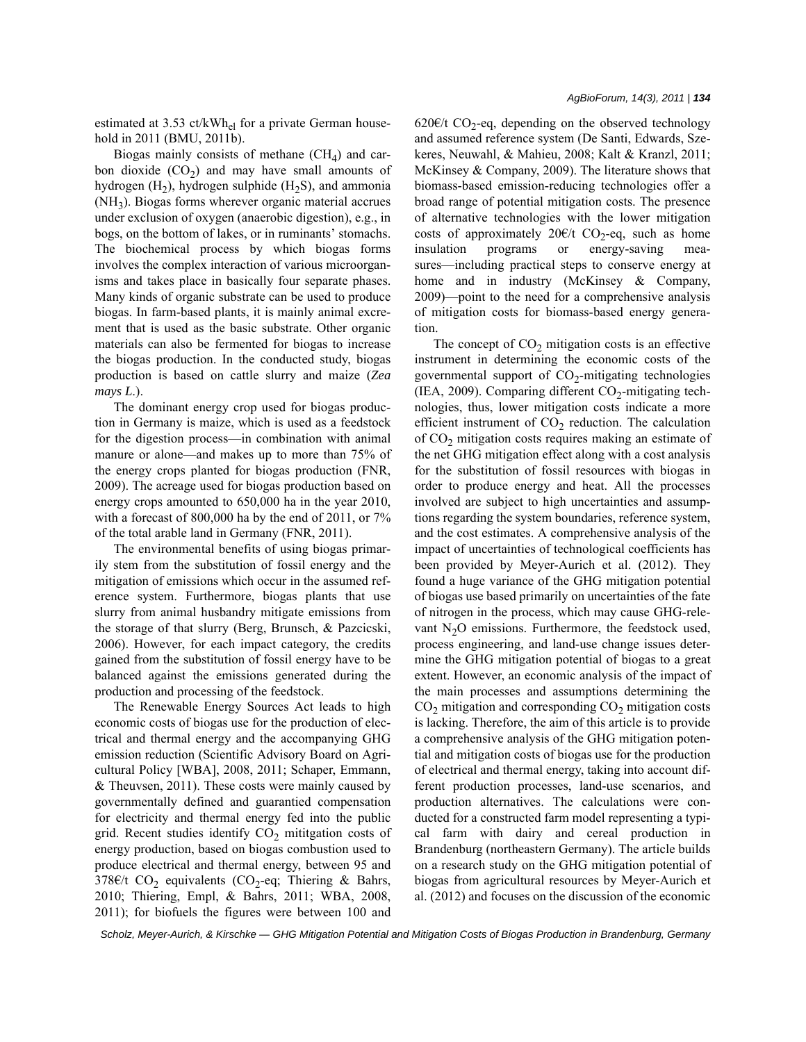estimated at 3.53 ct/kWh<sub>el</sub> for a private German household in 2011 (BMU, 2011b).

Biogas mainly consists of methane  $(CH<sub>4</sub>)$  and carbon dioxide  $(CO<sub>2</sub>)$  and may have small amounts of hydrogen  $(H<sub>2</sub>)$ , hydrogen sulphide  $(H<sub>2</sub>S)$ , and ammonia (NH3). Biogas forms wherever organic material accrues under exclusion of oxygen (anaerobic digestion), e.g., in bogs, on the bottom of lakes, or in ruminants' stomachs. The biochemical process by which biogas forms involves the complex interaction of various microorganisms and takes place in basically four separate phases. Many kinds of organic substrate can be used to produce biogas. In farm-based plants, it is mainly animal excrement that is used as the basic substrate. Other organic materials can also be fermented for biogas to increase the biogas production. In the conducted study, biogas production is based on cattle slurry and maize (*Zea mays L*.).

The dominant energy crop used for biogas production in Germany is maize, which is used as a feedstock for the digestion process—in combination with animal manure or alone—and makes up to more than 75% of the energy crops planted for biogas production (FNR, 2009). The acreage used for biogas production based on energy crops amounted to 650,000 ha in the year 2010, with a forecast of 800,000 ha by the end of 2011, or 7% of the total arable land in Germany (FNR, 2011).

The environmental benefits of using biogas primarily stem from the substitution of fossil energy and the mitigation of emissions which occur in the assumed reference system. Furthermore, biogas plants that use slurry from animal husbandry mitigate emissions from the storage of that slurry (Berg, Brunsch, & Pazcicski, 2006). However, for each impact category, the credits gained from the substitution of fossil energy have to be balanced against the emissions generated during the production and processing of the feedstock.

The Renewable Energy Sources Act leads to high economic costs of biogas use for the production of electrical and thermal energy and the accompanying GHG emission reduction (Scientific Advisory Board on Agricultural Policy [WBA], 2008, 2011; Schaper, Emmann, & Theuvsen, 2011). These costs were mainly caused by governmentally defined and guarantied compensation for electricity and thermal energy fed into the public grid. Recent studies identify  $CO<sub>2</sub>$  mititgation costs of energy production, based on biogas combustion used to produce electrical and thermal energy, between 95 and 378€/t CO<sub>2</sub> equivalents (CO<sub>2</sub>-eq; Thiering & Bahrs, 2010; Thiering, Empl, & Bahrs, 2011; WBA, 2008, 2011); for biofuels the figures were between 100 and 620€/t CO<sub>2</sub>-eq, depending on the observed technology and assumed reference system (De Santi, Edwards, Szekeres, Neuwahl, & Mahieu, 2008; Kalt & Kranzl, 2011; McKinsey & Company, 2009). The literature shows that biomass-based emission-reducing technologies offer a broad range of potential mitigation costs. The presence of alternative technologies with the lower mitigation costs of approximately 20€/t CO<sub>2</sub>-eq, such as home insulation programs or energy-saving measures—including practical steps to conserve energy at home and in industry (McKinsey & Company, 2009)—point to the need for a comprehensive analysis of mitigation costs for biomass-based energy generation.

The concept of  $CO<sub>2</sub>$  mitigation costs is an effective instrument in determining the economic costs of the governmental support of  $CO<sub>2</sub>$ -mitigating technologies (IEA, 2009). Comparing different  $CO_2$ -mitigating technologies, thus, lower mitigation costs indicate a more efficient instrument of  $CO<sub>2</sub>$  reduction. The calculation of  $CO<sub>2</sub>$  mitigation costs requires making an estimate of the net GHG mitigation effect along with a cost analysis for the substitution of fossil resources with biogas in order to produce energy and heat. All the processes involved are subject to high uncertainties and assumptions regarding the system boundaries, reference system, and the cost estimates. A comprehensive analysis of the impact of uncertainties of technological coefficients has been provided by Meyer-Aurich et al. (2012). They found a huge variance of the GHG mitigation potential of biogas use based primarily on uncertainties of the fate of nitrogen in the process, which may cause GHG-relevant  $N<sub>2</sub>O$  emissions. Furthermore, the feedstock used, process engineering, and land-use change issues determine the GHG mitigation potential of biogas to a great extent. However, an economic analysis of the impact of the main processes and assumptions determining the  $CO<sub>2</sub>$  mitigation and corresponding  $CO<sub>2</sub>$  mitigation costs is lacking. Therefore, the aim of this article is to provide a comprehensive analysis of the GHG mitigation potential and mitigation costs of biogas use for the production of electrical and thermal energy, taking into account different production processes, land-use scenarios, and production alternatives. The calculations were conducted for a constructed farm model representing a typical farm with dairy and cereal production in Brandenburg (northeastern Germany). The article builds on a research study on the GHG mitigation potential of biogas from agricultural resources by Meyer-Aurich et al. (2012) and focuses on the discussion of the economic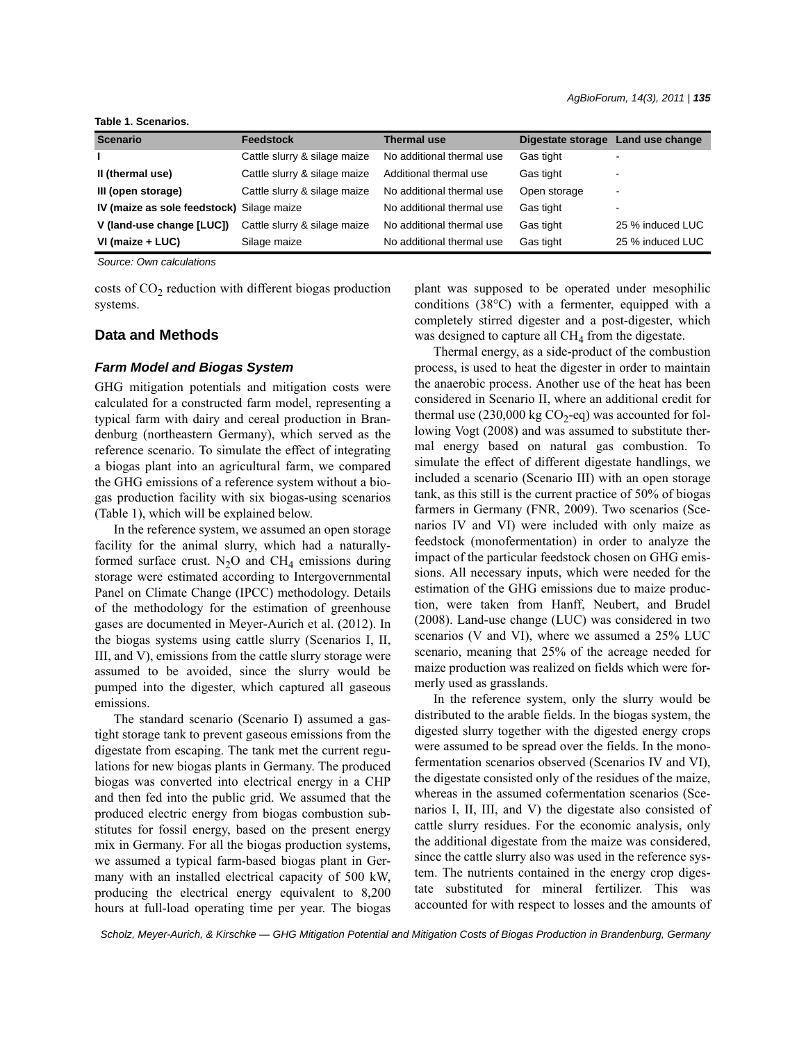**Table 1. Scenarios.**

| <b>Scenario</b>                           | Feedstock                    | <b>Thermal use</b>        | Digestate storage | Land use change          |
|-------------------------------------------|------------------------------|---------------------------|-------------------|--------------------------|
|                                           | Cattle slurry & silage maize | No additional thermal use | Gas tight         | -                        |
| II (thermal use)                          | Cattle slurry & silage maize | Additional thermal use    | Gas tight         | $\overline{\phantom{0}}$ |
| III (open storage)                        | Cattle slurry & silage maize | No additional thermal use | Open storage      | $\overline{\phantom{0}}$ |
| IV (maize as sole feedstock) Silage maize |                              | No additional thermal use | Gas tight         | $\overline{\phantom{0}}$ |
| V (land-use change [LUC])                 | Cattle slurry & silage maize | No additional thermal use | Gas tight         | 25 % induced LUC         |
| VI (maize + LUC)                          | Silage maize                 | No additional thermal use | Gas tight         | 25 % induced LUC         |

*Source: Own calculations*

costs of  $CO<sub>2</sub>$  reduction with different biogas production systems.

## **Data and Methods**

#### *Farm Model and Biogas System*

GHG mitigation potentials and mitigation costs were calculated for a constructed farm model, representing a typical farm with dairy and cereal production in Brandenburg (northeastern Germany), which served as the reference scenario. To simulate the effect of integrating a biogas plant into an agricultural farm, we compared the GHG emissions of a reference system without a biogas production facility with six biogas-using scenarios (Table 1), which will be explained below.

In the reference system, we assumed an open storage facility for the animal slurry, which had a naturallyformed surface crust.  $N_2O$  and  $CH_4$  emissions during storage were estimated according to Intergovernmental Panel on Climate Change (IPCC) methodology. Details of the methodology for the estimation of greenhouse gases are documented in Meyer-Aurich et al. (2012). In the biogas systems using cattle slurry (Scenarios I, II, III, and V), emissions from the cattle slurry storage were assumed to be avoided, since the slurry would be pumped into the digester, which captured all gaseous emissions.

The standard scenario (Scenario I) assumed a gastight storage tank to prevent gaseous emissions from the digestate from escaping. The tank met the current regulations for new biogas plants in Germany. The produced biogas was converted into electrical energy in a CHP and then fed into the public grid. We assumed that the produced electric energy from biogas combustion substitutes for fossil energy, based on the present energy mix in Germany. For all the biogas production systems, we assumed a typical farm-based biogas plant in Germany with an installed electrical capacity of 500 kW, producing the electrical energy equivalent to 8,200 hours at full-load operating time per year. The biogas plant was supposed to be operated under mesophilic conditions (38°C) with a fermenter, equipped with a completely stirred digester and a post-digester, which was designed to capture all  $CH<sub>4</sub>$  from the digestate.

Thermal energy, as a side-product of the combustion process, is used to heat the digester in order to maintain the anaerobic process. Another use of the heat has been considered in Scenario II, where an additional credit for thermal use  $(230,000 \text{ kg CO}_2\text{-eq})$  was accounted for following Vogt (2008) and was assumed to substitute thermal energy based on natural gas combustion. To simulate the effect of different digestate handlings, we included a scenario (Scenario III) with an open storage tank, as this still is the current practice of 50% of biogas farmers in Germany (FNR, 2009). Two scenarios (Scenarios IV and VI) were included with only maize as feedstock (monofermentation) in order to analyze the impact of the particular feedstock chosen on GHG emissions. All necessary inputs, which were needed for the estimation of the GHG emissions due to maize production, were taken from Hanff, Neubert, and Brudel (2008). Land-use change (LUC) was considered in two scenarios (V and VI), where we assumed a 25% LUC scenario, meaning that 25% of the acreage needed for maize production was realized on fields which were formerly used as grasslands.

In the reference system, only the slurry would be distributed to the arable fields. In the biogas system, the digested slurry together with the digested energy crops were assumed to be spread over the fields. In the monofermentation scenarios observed (Scenarios IV and VI), the digestate consisted only of the residues of the maize, whereas in the assumed cofermentation scenarios (Scenarios I, II, III, and V) the digestate also consisted of cattle slurry residues. For the economic analysis, only the additional digestate from the maize was considered, since the cattle slurry also was used in the reference system. The nutrients contained in the energy crop digestate substituted for mineral fertilizer. This was accounted for with respect to losses and the amounts of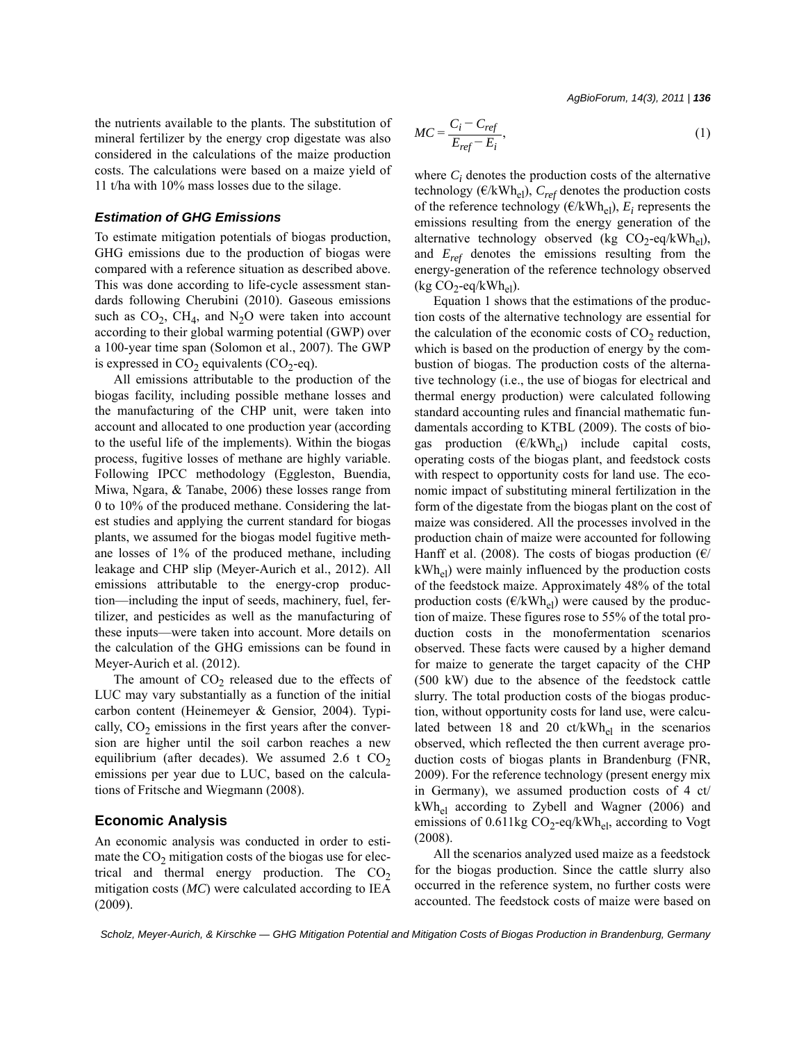*AgBioForum, 14(3), 2011 | 136*

the nutrients available to the plants. The substitution of mineral fertilizer by the energy crop digestate was also considered in the calculations of the maize production costs. The calculations were based on a maize yield of 11 t/ha with 10% mass losses due to the silage.

#### *Estimation of GHG Emissions*

To estimate mitigation potentials of biogas production, GHG emissions due to the production of biogas were compared with a reference situation as described above. This was done according to life-cycle assessment standards following Cherubini (2010). Gaseous emissions such as  $CO_2$ , CH<sub>4</sub>, and N<sub>2</sub>O were taken into account according to their global warming potential (GWP) over a 100-year time span (Solomon et al., 2007). The GWP is expressed in  $CO<sub>2</sub>$  equivalents (CO<sub>2</sub>-eq).

All emissions attributable to the production of the biogas facility, including possible methane losses and the manufacturing of the CHP unit, were taken into account and allocated to one production year (according to the useful life of the implements). Within the biogas process, fugitive losses of methane are highly variable. Following IPCC methodology (Eggleston, Buendia, Miwa, Ngara, & Tanabe, 2006) these losses range from 0 to 10% of the produced methane. Considering the latest studies and applying the current standard for biogas plants, we assumed for the biogas model fugitive methane losses of 1% of the produced methane, including leakage and CHP slip (Meyer-Aurich et al., 2012). All emissions attributable to the energy-crop production—including the input of seeds, machinery, fuel, fertilizer, and pesticides as well as the manufacturing of these inputs—were taken into account. More details on the calculation of the GHG emissions can be found in Meyer-Aurich et al. (2012).

The amount of  $CO<sub>2</sub>$  released due to the effects of LUC may vary substantially as a function of the initial carbon content (Heinemeyer & Gensior, 2004). Typically,  $CO<sub>2</sub>$  emissions in the first years after the conversion are higher until the soil carbon reaches a new equilibrium (after decades). We assumed 2.6 t  $CO<sub>2</sub>$ emissions per year due to LUC, based on the calculations of Fritsche and Wiegmann (2008).

## **Economic Analysis**

An economic analysis was conducted in order to estimate the  $CO<sub>2</sub>$  mitigation costs of the biogas use for electrical and thermal energy production. The  $CO<sub>2</sub>$ mitigation costs (*MC*) were calculated according to IEA (2009).

$$
MC = \frac{C_i - C_{ref}}{E_{ref} - E_i},\tag{1}
$$

where  $C_i$  denotes the production costs of the alternative technology ( $\epsilon/kWh_{el}$ ),  $C_{ref}$  denotes the production costs of the reference technology  $(\text{E/kWh}_{el})$ ,  $E_i$  represents the emissions resulting from the energy generation of the alternative technology observed (kg  $CO_2$ -eq/kWh<sub>el</sub>), and *Eref* denotes the emissions resulting from the energy-generation of the reference technology observed  $(kg CO<sub>2</sub>-eq/kWh<sub>el</sub>)$ .

Equation 1 shows that the estimations of the production costs of the alternative technology are essential for the calculation of the economic costs of  $CO<sub>2</sub>$  reduction, which is based on the production of energy by the combustion of biogas. The production costs of the alternative technology (i.e., the use of biogas for electrical and thermal energy production) were calculated following standard accounting rules and financial mathematic fundamentals according to KTBL (2009). The costs of biogas production  $(\mathcal{E}/kWh_{el})$  include capital costs, operating costs of the biogas plant, and feedstock costs with respect to opportunity costs for land use. The economic impact of substituting mineral fertilization in the form of the digestate from the biogas plant on the cost of maize was considered. All the processes involved in the production chain of maize were accounted for following Hanff et al. (2008). The costs of biogas production ( $\epsilon$ /  $kWh_{el}$ ) were mainly influenced by the production costs of the feedstock maize. Approximately 48% of the total production costs ( $\epsilon/kWh_{el}$ ) were caused by the production of maize. These figures rose to 55% of the total production costs in the monofermentation scenarios observed. These facts were caused by a higher demand for maize to generate the target capacity of the CHP (500 kW) due to the absence of the feedstock cattle slurry. The total production costs of the biogas production, without opportunity costs for land use, were calculated between 18 and 20 ct/kWh<sub>el</sub> in the scenarios observed, which reflected the then current average production costs of biogas plants in Brandenburg (FNR, 2009). For the reference technology (present energy mix in Germany), we assumed production costs of 4 ct/ kWhel according to Zybell and Wagner (2006) and emissions of 0.611kg  $CO_2$ -eq/kWh<sub>el</sub>, according to Vogt (2008).

All the scenarios analyzed used maize as a feedstock for the biogas production. Since the cattle slurry also occurred in the reference system, no further costs were accounted. The feedstock costs of maize were based on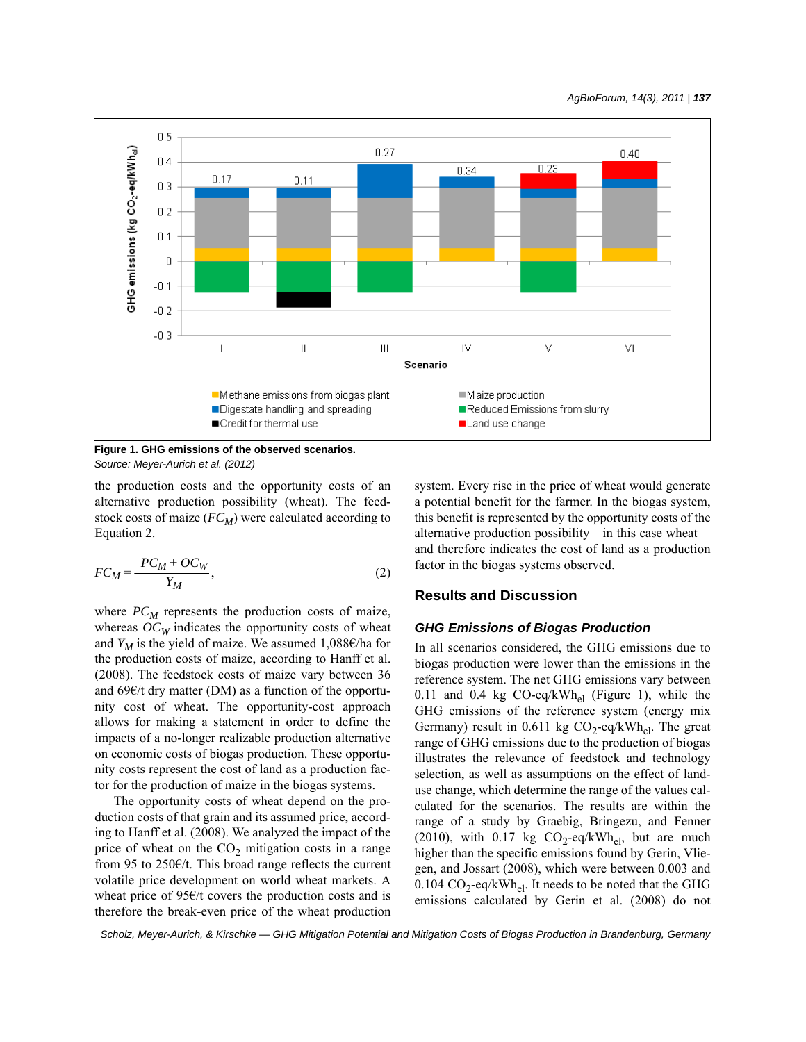

**Figure 1. GHG emissions of the observed scenarios.** *Source: Meyer-Aurich et al. (2012)*

the production costs and the opportunity costs of an alternative production possibility (wheat). The feedstock costs of maize  $(FC_M)$  were calculated according to Equation 2.

$$
FC_M = \frac{PC_M + OC_W}{Y_M},\tag{2}
$$

where  $PC_M$  represents the production costs of maize, whereas  $OC_W$  indicates the opportunity costs of wheat and  $Y_M$  is the yield of maize. We assumed 1,088€/ha for the production costs of maize, according to Hanff et al. (2008). The feedstock costs of maize vary between 36 and  $69 \in /t$  dry matter (DM) as a function of the opportunity cost of wheat. The opportunity-cost approach allows for making a statement in order to define the impacts of a no-longer realizable production alternative on economic costs of biogas production. These opportunity costs represent the cost of land as a production factor for the production of maize in the biogas systems.

The opportunity costs of wheat depend on the production costs of that grain and its assumed price, according to Hanff et al. (2008). We analyzed the impact of the price of wheat on the  $CO<sub>2</sub>$  mitigation costs in a range from 95 to 250 $\varepsilon$ /t. This broad range reflects the current volatile price development on world wheat markets. A wheat price of 95€/t covers the production costs and is therefore the break-even price of the wheat production system. Every rise in the price of wheat would generate a potential benefit for the farmer. In the biogas system, this benefit is represented by the opportunity costs of the alternative production possibility—in this case wheat and therefore indicates the cost of land as a production factor in the biogas systems observed.

## **Results and Discussion**

#### *GHG Emissions of Biogas Production*

In all scenarios considered, the GHG emissions due to biogas production were lower than the emissions in the reference system. The net GHG emissions vary between 0.11 and 0.4 kg  $CO$ -eq/kWh<sub>el</sub> (Figure 1), while the GHG emissions of the reference system (energy mix Germany) result in 0.611 kg  $CO_2$ -eq/kWh<sub>el</sub>. The great range of GHG emissions due to the production of biogas illustrates the relevance of feedstock and technology selection, as well as assumptions on the effect of landuse change, which determine the range of the values calculated for the scenarios. The results are within the range of a study by Graebig, Bringezu, and Fenner (2010), with 0.17 kg  $CO_2$ -eq/kWh<sub>el</sub>, but are much higher than the specific emissions found by Gerin, Vliegen, and Jossart (2008), which were between 0.003 and  $0.104 \text{ CO}_2$ -eq/kWh<sub>el</sub>. It needs to be noted that the GHG emissions calculated by Gerin et al. (2008) do not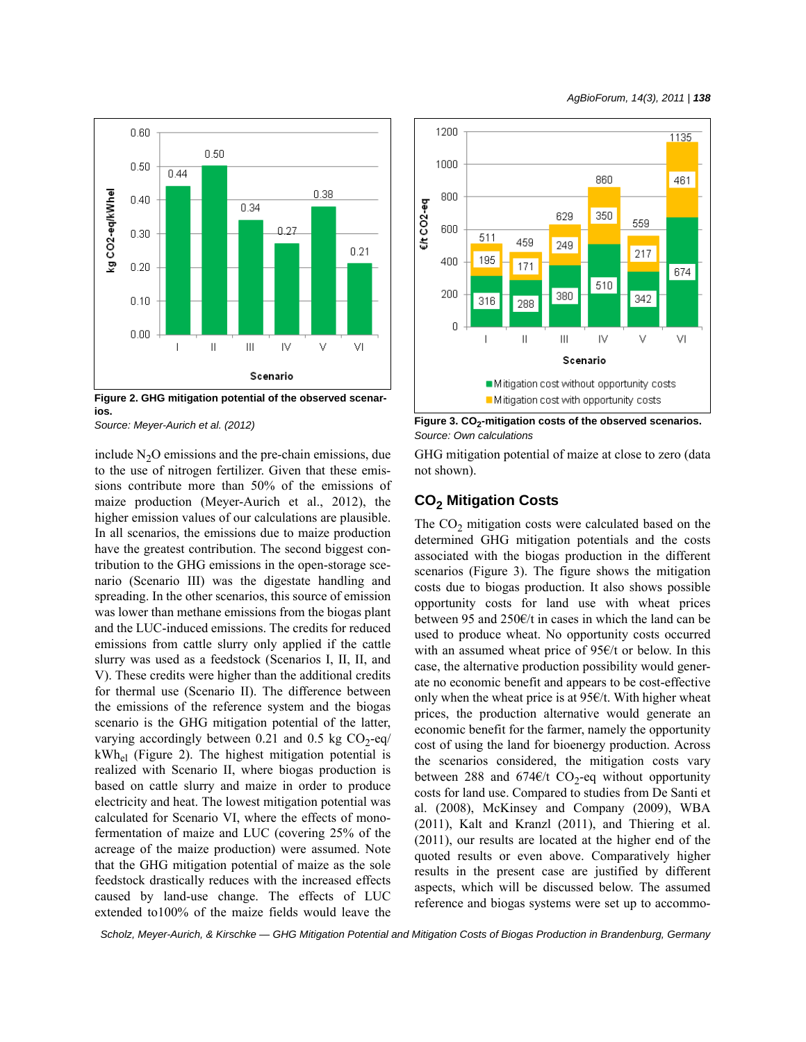

**Figure 2. GHG mitigation potential of the observed scenarios.**

include  $N<sub>2</sub>O$  emissions and the pre-chain emissions, due to the use of nitrogen fertilizer. Given that these emissions contribute more than 50% of the emissions of maize production (Meyer-Aurich et al., 2012), the higher emission values of our calculations are plausible. In all scenarios, the emissions due to maize production have the greatest contribution. The second biggest contribution to the GHG emissions in the open-storage scenario (Scenario III) was the digestate handling and spreading. In the other scenarios, this source of emission was lower than methane emissions from the biogas plant and the LUC-induced emissions. The credits for reduced emissions from cattle slurry only applied if the cattle slurry was used as a feedstock (Scenarios I, II, II, and V). These credits were higher than the additional credits for thermal use (Scenario II). The difference between the emissions of the reference system and the biogas scenario is the GHG mitigation potential of the latter, varying accordingly between 0.21 and 0.5 kg  $CO_2$ -eq/  $kWh_{el}$  (Figure 2). The highest mitigation potential is realized with Scenario II, where biogas production is based on cattle slurry and maize in order to produce electricity and heat. The lowest mitigation potential was calculated for Scenario VI, where the effects of monofermentation of maize and LUC (covering 25% of the acreage of the maize production) were assumed. Note that the GHG mitigation potential of maize as the sole feedstock drastically reduces with the increased effects caused by land-use change. The effects of LUC extended to100% of the maize fields would leave the



Source: Meyer-Aurich et al. (2012) **Figure 3. CO<sub>2</sub>-mitigation costs of the observed scenarios.** *Source: Own calculations*

GHG mitigation potential of maize at close to zero (data not shown).

## **CO2 Mitigation Costs**

The  $CO<sub>2</sub>$  mitigation costs were calculated based on the determined GHG mitigation potentials and the costs associated with the biogas production in the different scenarios (Figure 3). The figure shows the mitigation costs due to biogas production. It also shows possible opportunity costs for land use with wheat prices between 95 and 250€/t in cases in which the land can be used to produce wheat. No opportunity costs occurred with an assumed wheat price of 95€/t or below. In this case, the alternative production possibility would generate no economic benefit and appears to be cost-effective only when the wheat price is at  $95\epsilon/t$ . With higher wheat prices, the production alternative would generate an economic benefit for the farmer, namely the opportunity cost of using the land for bioenergy production. Across the scenarios considered, the mitigation costs vary between 288 and 674€/t CO<sub>2</sub>-eq without opportunity costs for land use. Compared to studies from De Santi et al. (2008), McKinsey and Company (2009), WBA (2011), Kalt and Kranzl (2011), and Thiering et al. (2011), our results are located at the higher end of the quoted results or even above. Comparatively higher results in the present case are justified by different aspects, which will be discussed below. The assumed reference and biogas systems were set up to accommo-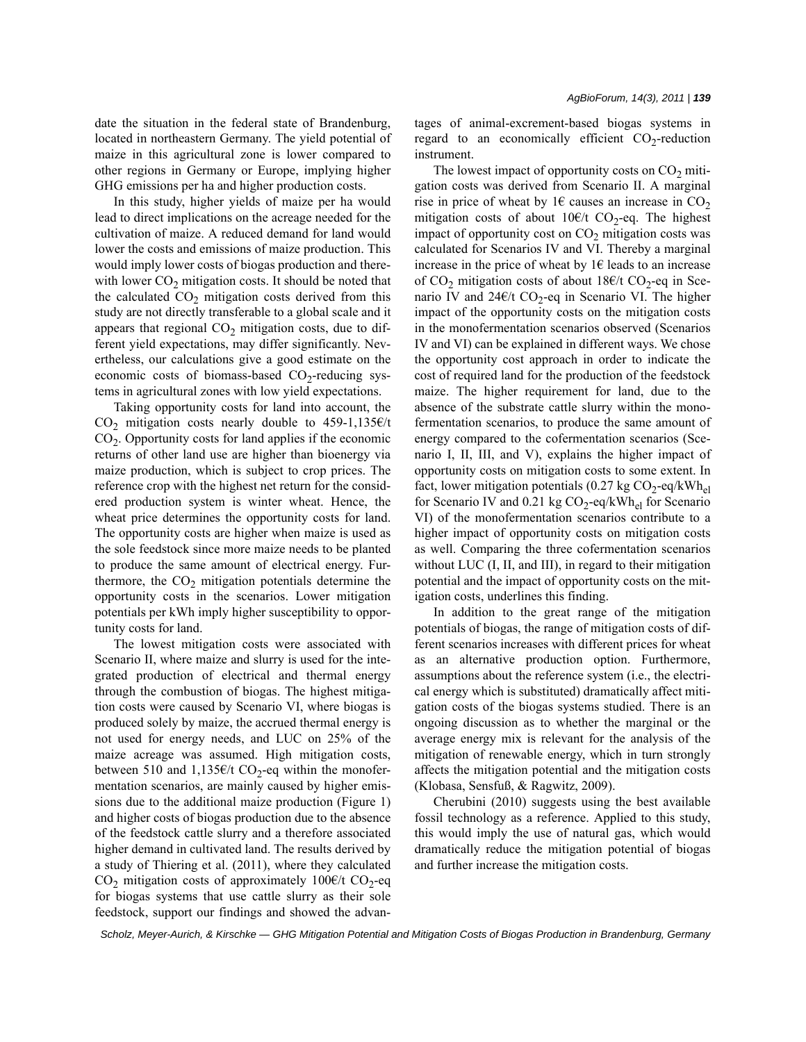date the situation in the federal state of Brandenburg, located in northeastern Germany. The yield potential of maize in this agricultural zone is lower compared to other regions in Germany or Europe, implying higher GHG emissions per ha and higher production costs.

In this study, higher yields of maize per ha would lead to direct implications on the acreage needed for the cultivation of maize. A reduced demand for land would lower the costs and emissions of maize production. This would imply lower costs of biogas production and therewith lower  $CO<sub>2</sub>$  mitigation costs. It should be noted that the calculated  $CO<sub>2</sub>$  mitigation costs derived from this study are not directly transferable to a global scale and it appears that regional  $CO<sub>2</sub>$  mitigation costs, due to different yield expectations, may differ significantly. Nevertheless, our calculations give a good estimate on the economic costs of biomass-based  $CO<sub>2</sub>$ -reducing systems in agricultural zones with low yield expectations.

Taking opportunity costs for land into account, the CO<sub>2</sub> mitigation costs nearly double to 459-1,135€/t  $CO<sub>2</sub>$ . Opportunity costs for land applies if the economic returns of other land use are higher than bioenergy via maize production, which is subject to crop prices. The reference crop with the highest net return for the considered production system is winter wheat. Hence, the wheat price determines the opportunity costs for land. The opportunity costs are higher when maize is used as the sole feedstock since more maize needs to be planted to produce the same amount of electrical energy. Furthermore, the  $CO<sub>2</sub>$  mitigation potentials determine the opportunity costs in the scenarios. Lower mitigation potentials per kWh imply higher susceptibility to opportunity costs for land.

The lowest mitigation costs were associated with Scenario II, where maize and slurry is used for the integrated production of electrical and thermal energy through the combustion of biogas. The highest mitigation costs were caused by Scenario VI, where biogas is produced solely by maize, the accrued thermal energy is not used for energy needs, and LUC on 25% of the maize acreage was assumed. High mitigation costs, between 510 and 1,135 $\epsilon$ /t CO<sub>2</sub>-eq within the monofermentation scenarios, are mainly caused by higher emissions due to the additional maize production (Figure 1) and higher costs of biogas production due to the absence of the feedstock cattle slurry and a therefore associated higher demand in cultivated land. The results derived by a study of Thiering et al. (2011), where they calculated CO<sub>2</sub> mitigation costs of approximately 100€/t CO<sub>2</sub>-eq for biogas systems that use cattle slurry as their sole feedstock, support our findings and showed the advantages of animal-excrement-based biogas systems in regard to an economically efficient  $CO<sub>2</sub>$ -reduction instrument.

The lowest impact of opportunity costs on  $CO<sub>2</sub>$  mitigation costs was derived from Scenario II. A marginal rise in price of wheat by 1 $\epsilon$  causes an increase in CO<sub>2</sub> mitigation costs of about  $10 \in /t$  CO<sub>2</sub>-eq. The highest impact of opportunity cost on  $CO<sub>2</sub>$  mitigation costs was calculated for Scenarios IV and VI. Thereby a marginal increase in the price of wheat by  $1 \in$  leads to an increase of CO<sub>2</sub> mitigation costs of about 18€/t CO<sub>2</sub>-eq in Scenario IV and  $24\epsilon/t$  CO<sub>2</sub>-eq in Scenario VI. The higher impact of the opportunity costs on the mitigation costs in the monofermentation scenarios observed (Scenarios IV and VI) can be explained in different ways. We chose the opportunity cost approach in order to indicate the cost of required land for the production of the feedstock maize. The higher requirement for land, due to the absence of the substrate cattle slurry within the monofermentation scenarios, to produce the same amount of energy compared to the cofermentation scenarios (Scenario I, II, III, and V), explains the higher impact of opportunity costs on mitigation costs to some extent. In fact, lower mitigation potentials (0.27 kg  $CO_2$ -eq/kWh<sub>el</sub> for Scenario IV and 0.21 kg  $CO<sub>2</sub>$ -eq/kWh<sub>el</sub> for Scenario VI) of the monofermentation scenarios contribute to a higher impact of opportunity costs on mitigation costs as well. Comparing the three cofermentation scenarios without LUC (I, II, and III), in regard to their mitigation potential and the impact of opportunity costs on the mitigation costs, underlines this finding.

In addition to the great range of the mitigation potentials of biogas, the range of mitigation costs of different scenarios increases with different prices for wheat as an alternative production option. Furthermore, assumptions about the reference system (i.e., the electrical energy which is substituted) dramatically affect mitigation costs of the biogas systems studied. There is an ongoing discussion as to whether the marginal or the average energy mix is relevant for the analysis of the mitigation of renewable energy, which in turn strongly affects the mitigation potential and the mitigation costs (Klobasa, Sensfuß, & Ragwitz, 2009).

Cherubini (2010) suggests using the best available fossil technology as a reference. Applied to this study, this would imply the use of natural gas, which would dramatically reduce the mitigation potential of biogas and further increase the mitigation costs.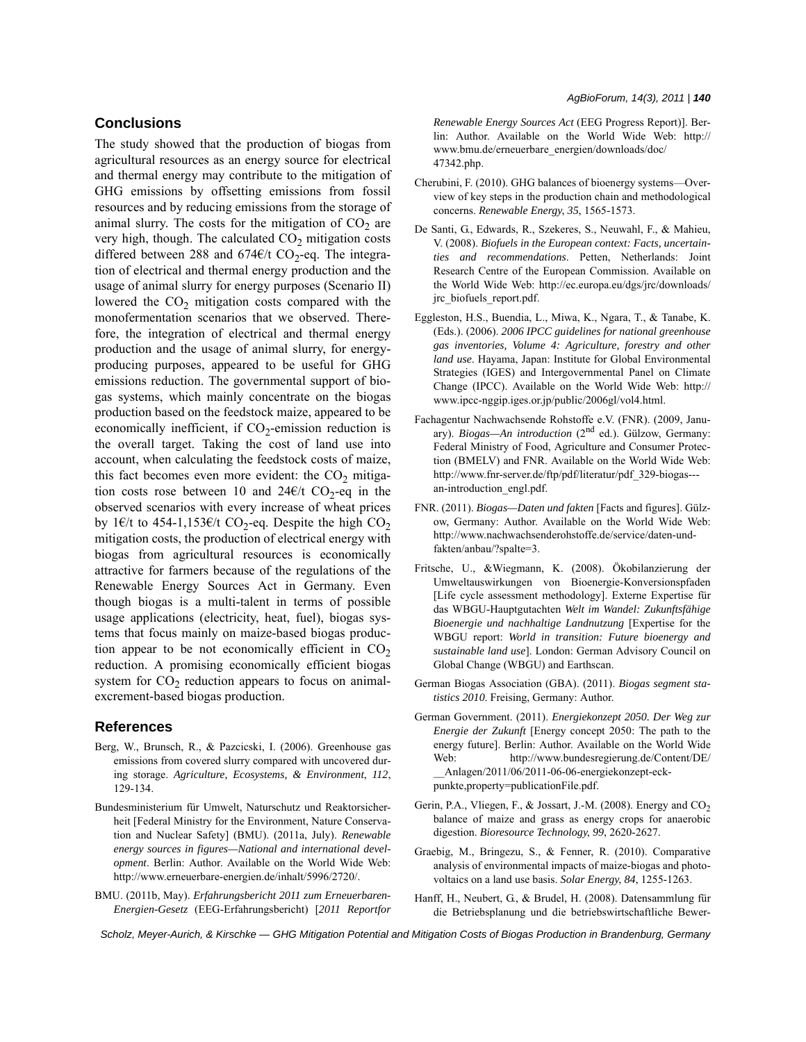# **Conclusions**

The study showed that the production of biogas from agricultural resources as an energy source for electrical and thermal energy may contribute to the mitigation of GHG emissions by offsetting emissions from fossil resources and by reducing emissions from the storage of animal slurry. The costs for the mitigation of  $CO<sub>2</sub>$  are very high, though. The calculated  $CO<sub>2</sub>$  mitigation costs differed between 288 and 674€/t CO<sub>2</sub>-eq. The integration of electrical and thermal energy production and the usage of animal slurry for energy purposes (Scenario II) lowered the  $CO<sub>2</sub>$  mitigation costs compared with the monofermentation scenarios that we observed. Therefore, the integration of electrical and thermal energy production and the usage of animal slurry, for energyproducing purposes, appeared to be useful for GHG emissions reduction. The governmental support of biogas systems, which mainly concentrate on the biogas production based on the feedstock maize, appeared to be economically inefficient, if  $CO<sub>2</sub>$ -emission reduction is the overall target. Taking the cost of land use into account, when calculating the feedstock costs of maize, this fact becomes even more evident: the  $CO<sub>2</sub>$  mitigation costs rose between 10 and 24€/t  $CO_2$ -eq in the observed scenarios with every increase of wheat prices by 1€/t to 454-1,153€/t CO<sub>2</sub>-eq. Despite the high CO<sub>2</sub> mitigation costs, the production of electrical energy with biogas from agricultural resources is economically attractive for farmers because of the regulations of the Renewable Energy Sources Act in Germany. Even though biogas is a multi-talent in terms of possible usage applications (electricity, heat, fuel), biogas systems that focus mainly on maize-based biogas production appear to be not economically efficient in  $CO<sub>2</sub>$ reduction. A promising economically efficient biogas system for  $CO<sub>2</sub>$  reduction appears to focus on animalexcrement-based biogas production.

#### **References**

- Berg, W., Brunsch, R., & Pazcicski, I. (2006). Greenhouse gas emissions from covered slurry compared with uncovered during storage. *Agriculture, Ecosystems, & Environment*, *112*, 129-134.
- Bundesministerium für Umwelt, Naturschutz und Reaktorsicherheit [Federal Ministry for the Environment, Nature Conservation and Nuclear Safety] (BMU). (2011a, July). *Renewable energy sources in figures—National and international development*. Berlin: Author. Available on the World Wide Web: http://www.erneuerbare-energien.de/inhalt/5996/2720/.
- BMU. (2011b, May). *Erfahrungsbericht 2011 zum Erneuerbaren-Energien-Gesetz* (EEG-Erfahrungsbericht) [*2011 Reportfor*

*Renewable Energy Sources Act* (EEG Progress Report)]. Berlin: Author. Available on the World Wide Web: http:// www.bmu.de/erneuerbare\_energien/downloads/doc/ 47342.php.

- Cherubini, F. (2010). GHG balances of bioenergy systems—Overview of key steps in the production chain and methodological concerns. *Renewable Energy*, *35*, 1565-1573.
- De Santi, G., Edwards, R., Szekeres, S., Neuwahl, F., & Mahieu, V. (2008). *Biofuels in the European context: Facts, uncertainties and recommendations*. Petten, Netherlands: Joint Research Centre of the European Commission. Available on the World Wide Web: http://ec.europa.eu/dgs/jrc/downloads/ jrc\_biofuels\_report.pdf.
- Eggleston, H.S., Buendia, L., Miwa, K., Ngara, T., & Tanabe, K. (Eds.). (2006). *2006 IPCC guidelines for national greenhouse gas inventories, Volume 4: Agriculture, forestry and other land use*. Hayama, Japan: Institute for Global Environmental Strategies (IGES) and Intergovernmental Panel on Climate Change (IPCC). Available on the World Wide Web: http:// www.ipcc-nggip.iges.or.jp/public/2006gl/vol4.html.
- Fachagentur Nachwachsende Rohstoffe e.V. (FNR). (2009, January). *Biogas—An introduction* (2<sup>nd</sup> ed.). Gülzow, Germany: Federal Ministry of Food, Agriculture and Consumer Protection (BMELV) and FNR. Available on the World Wide Web: http://www.fnr-server.de/ftp/pdf/literatur/pdf\_329-biogas-- an-introduction\_engl.pdf.
- FNR. (2011). *Biogas—Daten und fakten* [Facts and figures]. Gülzow, Germany: Author. Available on the World Wide Web: http://www.nachwachsenderohstoffe.de/service/daten-undfakten/anbau/?spalte=3.
- Fritsche, U., &Wiegmann, K. (2008). Ökobilanzierung der Umweltauswirkungen von Bioenergie-Konversionspfaden [Life cycle assessment methodology]. Externe Expertise für das WBGU-Hauptgutachten *Welt im Wandel: Zukunftsfähige Bioenergie und nachhaltige Landnutzung* [Expertise for the WBGU report: *World in transition: Future bioenergy and sustainable land use*]. London: German Advisory Council on Global Change (WBGU) and Earthscan.
- German Biogas Association (GBA). (2011). *Biogas segment statistics 2010*. Freising, Germany: Author.
- German Government. (2011). *Energiekonzept 2050. Der Weg zur Energie der Zukunft* [Energy concept 2050: The path to the energy future]. Berlin: Author. Available on the World Wide Web: http://www.bundesregierung.de/Content/DE/ \_\_Anlagen/2011/06/2011-06-06-energiekonzept-eckpunkte,property=publicationFile.pdf.
- Gerin, P.A., Vliegen, F., & Jossart, J.-M. (2008). Energy and  $CO<sub>2</sub>$ balance of maize and grass as energy crops for anaerobic digestion. *Bioresource Technology*, *99*, 2620-2627.
- Graebig, M., Bringezu, S., & Fenner, R. (2010). Comparative analysis of environmental impacts of maize-biogas and photovoltaics on a land use basis. *Solar Energy*, *84*, 1255-1263.
- Hanff, H., Neubert, G., & Brudel, H. (2008). Datensammlung für die Betriebsplanung und die betriebswirtschaftliche Bewer-